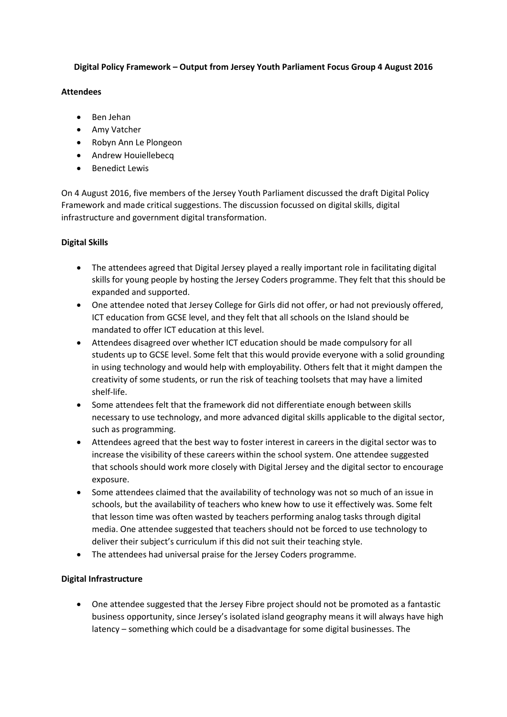## **Digital Policy Framework – Output from Jersey Youth Parliament Focus Group 4 August 2016**

### **Attendees**

- Ben Jehan
- Amy Vatcher
- Robyn Ann Le Plongeon
- Andrew Houiellebeca
- **•** Benedict Lewis

On 4 August 2016, five members of the Jersey Youth Parliament discussed the draft Digital Policy Framework and made critical suggestions. The discussion focussed on digital skills, digital infrastructure and government digital transformation.

# **Digital Skills**

- The attendees agreed that Digital Jersey played a really important role in facilitating digital skills for young people by hosting the Jersey Coders programme. They felt that this should be expanded and supported.
- One attendee noted that Jersey College for Girls did not offer, or had not previously offered, ICT education from GCSE level, and they felt that all schools on the Island should be mandated to offer ICT education at this level.
- Attendees disagreed over whether ICT education should be made compulsory for all students up to GCSE level. Some felt that this would provide everyone with a solid grounding in using technology and would help with employability. Others felt that it might dampen the creativity of some students, or run the risk of teaching toolsets that may have a limited shelf-life.
- Some attendees felt that the framework did not differentiate enough between skills necessary to use technology, and more advanced digital skills applicable to the digital sector, such as programming.
- Attendees agreed that the best way to foster interest in careers in the digital sector was to increase the visibility of these careers within the school system. One attendee suggested that schools should work more closely with Digital Jersey and the digital sector to encourage exposure.
- Some attendees claimed that the availability of technology was not so much of an issue in schools, but the availability of teachers who knew how to use it effectively was. Some felt that lesson time was often wasted by teachers performing analog tasks through digital media. One attendee suggested that teachers should not be forced to use technology to deliver their subject's curriculum if this did not suit their teaching style.
- The attendees had universal praise for the Jersey Coders programme.

# **Digital Infrastructure**

 One attendee suggested that the Jersey Fibre project should not be promoted as a fantastic business opportunity, since Jersey's isolated island geography means it will always have high latency – something which could be a disadvantage for some digital businesses. The